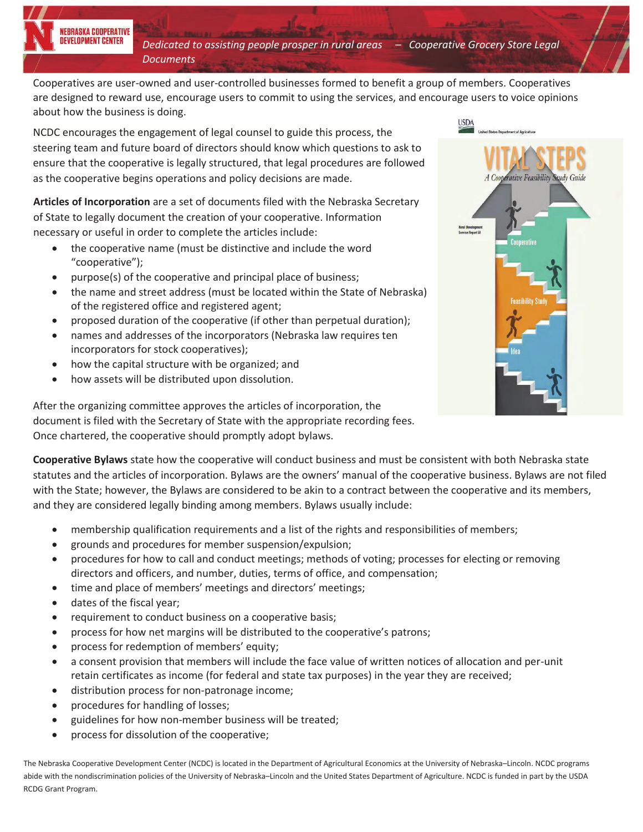*Dedicated to assisting people prosper in rural areas – Cooperative Grocery Store Legal Documents*

Cooperatives are user-owned and user-controlled businesses formed to benefit a group of members. Cooperatives are designed to reward use, encourage users to commit to using the services, and encourage users to voice opinions about how the business is doing.

NCDC encourages the engagement of legal counsel to guide this process, the steering team and future board of directors should know which questions to ask to ensure that the cooperative is legally structured, that legal procedures are followed as the cooperative begins operations and policy decisions are made.

**Articles of Incorporation** are a set of documents filed with the Nebraska Secretary of State to legally document the creation of your cooperative. Information necessary or useful in order to complete the articles include:

- the cooperative name (must be distinctive and include the word "cooperative");
- purpose(s) of the cooperative and principal place of business;
- the name and street address (must be located within the State of Nebraska) of the registered office and registered agent;
- proposed duration of the cooperative (if other than perpetual duration);
- names and addresses of the incorporators (Nebraska law requires ten incorporators for stock cooperatives);
- how the capital structure with be organized; and
- how assets will be distributed upon dissolution.

A Cooperative Feasibility Study Guide

After the organizing committee approves the articles of incorporation, the document is filed with the Secretary of State with the appropriate recording fees. Once chartered, the cooperative should promptly adopt bylaws.

**Cooperative Bylaws** state how the cooperative will conduct business and must be consistent with both Nebraska state statutes and the articles of incorporation. Bylaws are the owners' manual of the cooperative business. Bylaws are not filed with the State; however, the Bylaws are considered to be akin to a contract between the cooperative and its members, and they are considered legally binding among members. Bylaws usually include:

- membership qualification requirements and a list of the rights and responsibilities of members;
- x grounds and procedures for member suspension/expulsion;
- procedures for how to call and conduct meetings; methods of voting; processes for electing or removing directors and officers, and number, duties, terms of office, and compensation;
- time and place of members' meetings and directors' meetings;
- dates of the fiscal year;
- requirement to conduct business on a cooperative basis;
- process for how net margins will be distributed to the cooperative's patrons;
- process for redemption of members' equity;
- a consent provision that members will include the face value of written notices of allocation and per-unit retain certificates as income (for federal and state tax purposes) in the year they are received;
- distribution process for non-patronage income;
- procedures for handling of losses;
- x guidelines for how non-member business will be treated;
- process for dissolution of the cooperative;

The Nebraska Cooperative Development Center (NCDC) is located in the Department of Agricultural Economics at the University of Nebraska–Lincoln. NCDC programs abide with the nondiscrimination policies of the University of Nebraska–Lincoln and the United States Department of Agriculture. NCDC is funded in part by the USDA RCDG Grant Program.